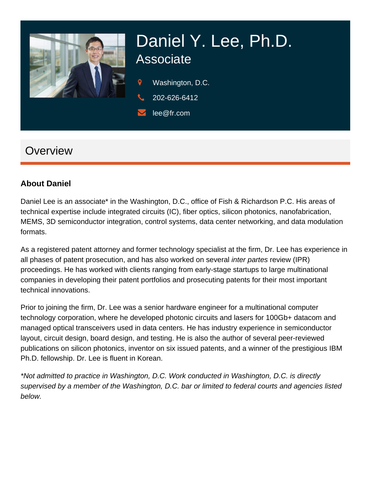

# Daniel Y. Lee, Ph.D. **Associate**

Washington, D.C.

202-626-6412

lee@fr.com

## **Overview**

#### **About Daniel**

Daniel Lee is an associate\* in the Washington, D.C., office of Fish & Richardson P.C. His areas of technical expertise include integrated circuits (IC), fiber optics, silicon photonics, nanofabrication, MEMS, 3D semiconductor integration, control systems, data center networking, and data modulation formats.

As a registered patent attorney and former technology specialist at the firm, Dr. Lee has experience in all phases of patent prosecution, and has also worked on several inter partes review (IPR) proceedings. He has worked with clients ranging from early-stage startups to large multinational companies in developing their patent portfolios and prosecuting patents for their most important technical innovations.

Prior to joining the firm, Dr. Lee was a senior hardware engineer for a multinational computer technology corporation, where he developed photonic circuits and lasers for 100Gb+ datacom and managed optical transceivers used in data centers. He has industry experience in semiconductor layout, circuit design, board design, and testing. He is also the author of several peer-reviewed publications on silicon photonics, inventor on six issued patents, and a winner of the prestigious IBM Ph.D. fellowship. Dr. Lee is fluent in Korean.

\*Not admitted to practice in Washington, D.C. Work conducted in Washington, D.C. is directly supervised by a member of the Washington, D.C. bar or limited to federal courts and agencies listed below.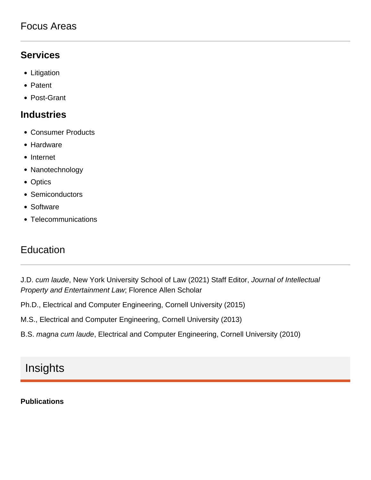#### Focus Areas

#### **Services**

- Litigation
- Patent
- Post-Grant

#### **Industries**

- Consumer Products
- Hardware
- Internet
- Nanotechnology
- Optics
- Semiconductors
- Software
- Telecommunications

#### Education

J.D. cum laude, New York University School of Law (2021) Staff Editor, Journal of Intellectual Property and Entertainment Law; Florence Allen Scholar

Ph.D., Electrical and Computer Engineering, Cornell University (2015)

M.S., Electrical and Computer Engineering, Cornell University (2013)

B.S. magna cum laude, Electrical and Computer Engineering, Cornell University (2010)

## Insights

#### **Publications**